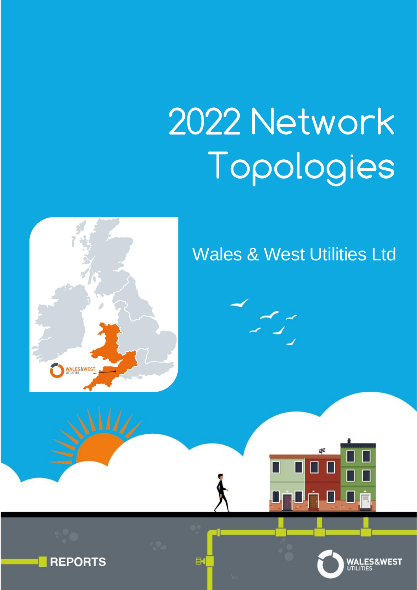# 2022 Network Topologies

## Wales & West Utilities Ltd



**WALES&WEST** 

**REPORTS** 



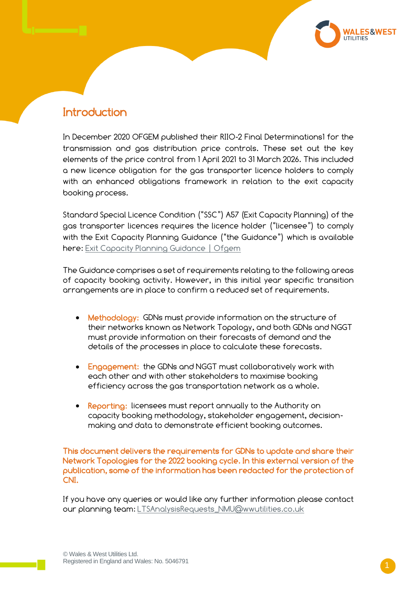#### **Introduction**

In December 2020 OFGEM published their RIIO-2 Final Determinations1 for the transmission and gas distribution price controls. These set out the key elements of the price control from 1 April 2021 to 31 March 2026. This included a new licence obligation for the gas transporter licence holders to comply with an enhanced obligations framework in relation to the exit capacity booking process.

Standard Special Licence Condition ("SSC") A57 (Exit Capacity Planning) of the gas transporter licences requires the licence holder ("licensee") to comply with the Exit Capacity Planning Guidance ("the Guidance") which is available here: [Exit Capacity Planning Guidance | Ofgem](https://www.ofgem.gov.uk/publications-and-updates/exit-capacity-planning-guidance?utm_medium=email&utm_source=dotMailer&utm_campaign=Daily-Alert_19-03-2021&utm_content=Exit+Capacity+Planning+Guidance&dm_i=1QCB,7AN5S,EHP5GS,TL5YO,1)

The Guidance comprises a set of requirements relating to the following areas of capacity booking activity. However, in this initial year specific transition arrangements are in place to confirm a reduced set of requirements.

- Methodology: GDNs must provide information on the structure of their networks known as Network Topology, and both GDNs and NGGT must provide information on their forecasts of demand and the details of the processes in place to calculate these forecasts.
- Engagement: the GDNs and NGGT must collaboratively work with each other and with other stakeholders to maximise booking efficiency across the gas transportation network as a whole.
- Reporting: licensees must report annually to the Authority on capacity booking methodology, stakeholder engagement, decisionmaking and data to demonstrate efficient booking outcomes.

This document delivers the requirements for GDNs to update and share their Network Topologies for the 2022 booking cycle. In this external version of the publication, some of the information has been redacted for the protection of CNI.

If you have any queries or would like any further information please contact our planning team: [LTSAnalysisRequests\\_NMU@wwutilities.co.uk](mailto:LTSAnalysisRequests_NMU@wwutilities.co.uk)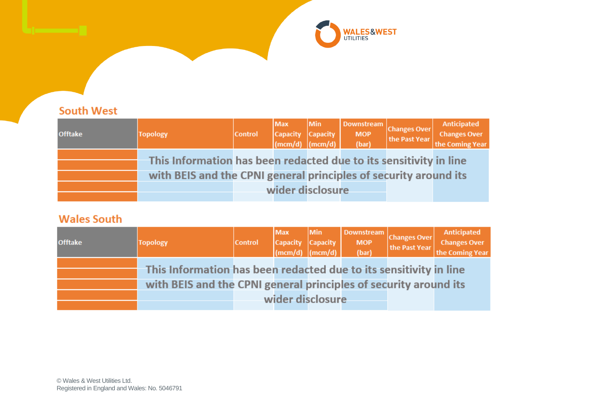

#### **South West**

| <b>Offtake</b> | <b>Topology</b>                                                   | <b>Control</b> | Max<br>Capacity Capacity $\begin{bmatrix}$ Capacity $\end{bmatrix}$ | Min | MOP<br>(bar) | Downstream<br>Changes Over<br>the Past Year | Anticipated<br><b>Changes Over</b><br>the Coming Year |
|----------------|-------------------------------------------------------------------|----------------|---------------------------------------------------------------------|-----|--------------|---------------------------------------------|-------------------------------------------------------|
|                | This Information has been redacted due to its sensitivity in line |                |                                                                     |     |              |                                             |                                                       |
|                | with BEIS and the CPNI general principles of security around its  |                |                                                                     |     |              |                                             |                                                       |
|                |                                                                   |                | wider disclosure                                                    |     |              |                                             |                                                       |
|                |                                                                   |                |                                                                     |     |              |                                             |                                                       |

#### **Wales South**

| <b>Offtake</b> | <b>Topology</b>                                                   | <b>Control</b> | Max<br>Capacity Capacity (mcm/d) | Min | MOP<br>(bar) | Downstream<br>Changes Over<br>the Past Year | Anticipated<br>Changes Over<br>the Coming Year |
|----------------|-------------------------------------------------------------------|----------------|----------------------------------|-----|--------------|---------------------------------------------|------------------------------------------------|
|                | This Information has been redacted due to its sensitivity in line |                |                                  |     |              |                                             |                                                |
|                | with BEIS and the CPNI general principles of security around its  |                |                                  |     |              |                                             |                                                |
|                |                                                                   |                | wider disclosure                 |     |              |                                             |                                                |
|                |                                                                   |                |                                  |     |              |                                             |                                                |